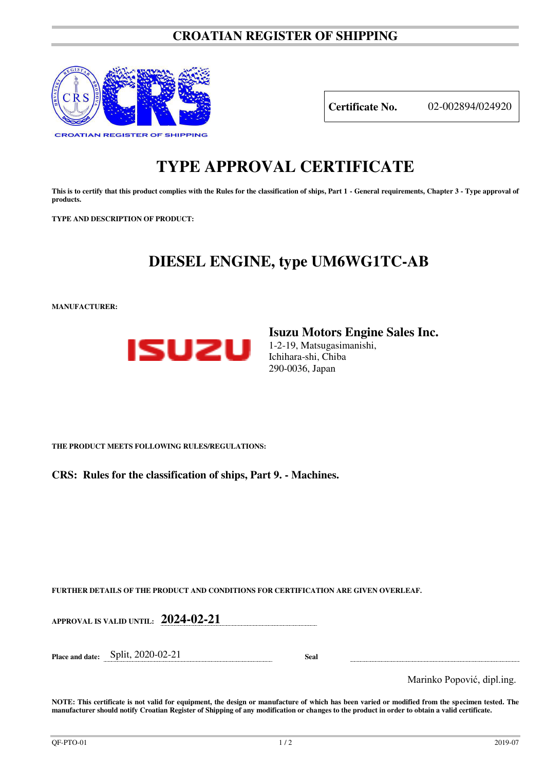### **CROATIAN REGISTER OF SHIPPING**



**Certificate No.** 02-002894/024920

# **TYPE APPROVAL CERTIFICATE**

This is to certify that this product complies with the Rules for the classification of ships, Part 1 - General requirements, Chapter 3 - Type approval of **products.** 

**TYPE AND DESCRIPTION OF PRODUCT:** 

## **DIESEL ENGINE, type UM6WG1TC-AB**

**MANUFACTURER:**



**Isuzu Motors Engine Sales Inc.**  1-2-19, Matsugasimanishi, Ichihara-shi, Chiba 290-0036, Japan

**THE PRODUCT MEETS FOLLOWING RULES/REGULATIONS:**

**CRS: Rules for the classification of ships, Part 9. - Machines.**

**FURTHER DETAILS OF THE PRODUCT AND CONDITIONS FOR CERTIFICATION ARE GIVEN OVERLEAF.**

**APPROVAL IS VALID UNTIL: 2024-02-21** 

**Place and date:** Split, 2020-02-21 **Seal** 

Marinko Popović, dipl.ing.

**NOTE: This certificate is not valid for equipment, the design or manufacture of which has been varied or modified from the specimen tested. The manufacturer should notify Croatian Register of Shipping of any modification or changes to the product in order to obtain a valid certificate.**